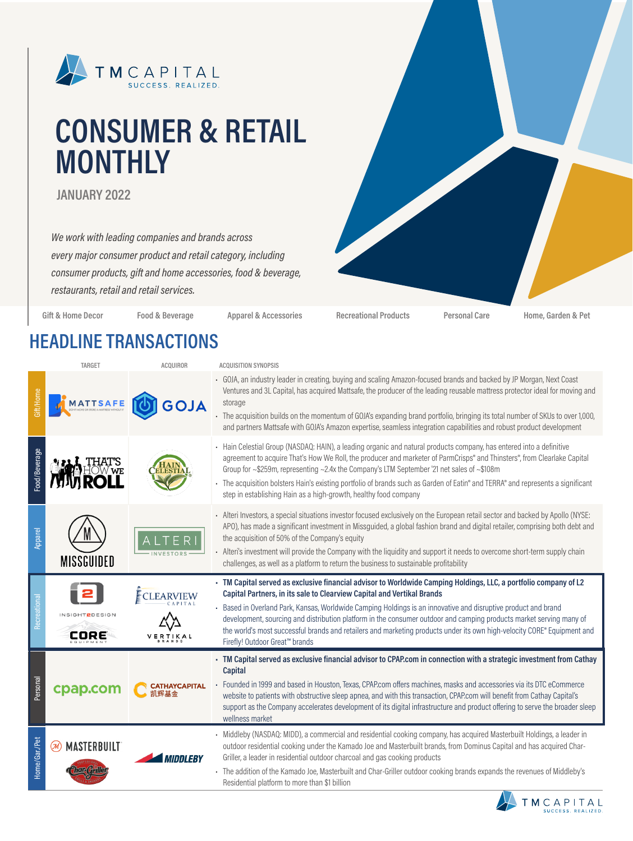

# **CONSUMER & RETAIL MONTHLY**

**JANUARY 2022**

*We work with leading companies and brands across every major consumer product and retail category, including consumer products, gift and home accessories, food & beverage, restaurants, retail and retail services.*

**Gift & Home Decor Food & Beverage Apparel & Accessories Recreational Products Personal Care Home, Garden & Pet**

### **HEADLINE TRANSACTIONS**

|               | <b>TARGET</b>                 | <b>ACQUIROR</b>     | <b>ACQUISITION SYNOPSIS</b>                                                                                                                                                                                                                                                                                                                                                                                                                                                                                                                         |
|---------------|-------------------------------|---------------------|-----------------------------------------------------------------------------------------------------------------------------------------------------------------------------------------------------------------------------------------------------------------------------------------------------------------------------------------------------------------------------------------------------------------------------------------------------------------------------------------------------------------------------------------------------|
| ft/Home       | MATTSAFE                      |                     | - GOJA, an industry leader in creating, buying and scaling Amazon-focused brands and backed by JP Morgan, Next Coast<br>Ventures and 3L Capital, has acquired Mattsafe, the producer of the leading reusable mattress protector ideal for moving and<br>storage<br>- The acquisition builds on the momentum of GOJA's expanding brand portfolio, bringing its total number of SKUs to over 1,000,<br>and partners Mattsafe with GOJA's Amazon expertise, seamless integration capabilities and robust product development                           |
| -ood/Beverage |                               |                     | - Hain Celestial Group (NASDAQ: HAIN), a leading organic and natural products company, has entered into a definitive<br>agreement to acquire That's How We Roll, the producer and marketer of ParmCrisps® and Thinsters®, from Clearlake Capital<br>Group for ~\$259m, representing ~2.4x the Company's LTM September '21 net sales of ~\$108m<br>The acquisition bolsters Hain's existing portfolio of brands such as Garden of Eatin® and TERRA® and represents a significant<br>step in establishing Hain as a high-growth, healthy food company |
| Apparel       | <b>MISSGUIDED</b>             | F <sub>R</sub>      | - Alteri Investors, a special situations investor focused exclusively on the European retail sector and backed by Apollo (NYSE:<br>APO), has made a significant investment in Missguided, a global fashion brand and digital retailer, comprising both debt and<br>the acquisition of 50% of the Company's equity<br>- Alteri's investment will provide the Company with the liquidity and support it needs to overcome short-term supply chain<br>challenges, as well as a platform to return the business to sustainable profitability            |
| Recreational  |                               |                     | - TM Capital served as exclusive financial advisor to Worldwide Camping Holdings, LLC, a portfolio company of L2<br>Capital Partners, in its sale to Clearview Capital and Vertikal Brands<br>Based in Overland Park, Kansas, Worldwide Camping Holdings is an innovative and disruptive product and brand<br>development, sourcing and distribution platform in the consumer outdoor and camping products market serving many of                                                                                                                   |
|               | <b>INSIGHT2DESIGN</b><br>CORE |                     | the world's most successful brands and retailers and marketing products under its own high-velocity CORE® Equipment and<br>Firefly! Outdoor Great™ brands                                                                                                                                                                                                                                                                                                                                                                                           |
| Personal      | cpap.com                      | <b>ATHAYCAPITAL</b> | - TM Capital served as exclusive financial advisor to CPAP.com in connection with a strategic investment from Cathay<br>Capital<br>- Founded in 1999 and based in Houston, Texas, CPAP.com offers machines, masks and accessories via its DTC eCommerce<br>website to patients with obstructive sleep apnea, and with this transaction, CPAP.com will benefit from Cathay Capital's<br>support as the Company accelerates development of its digital infrastructure and product offering to serve the broader sleep<br>wellness market              |

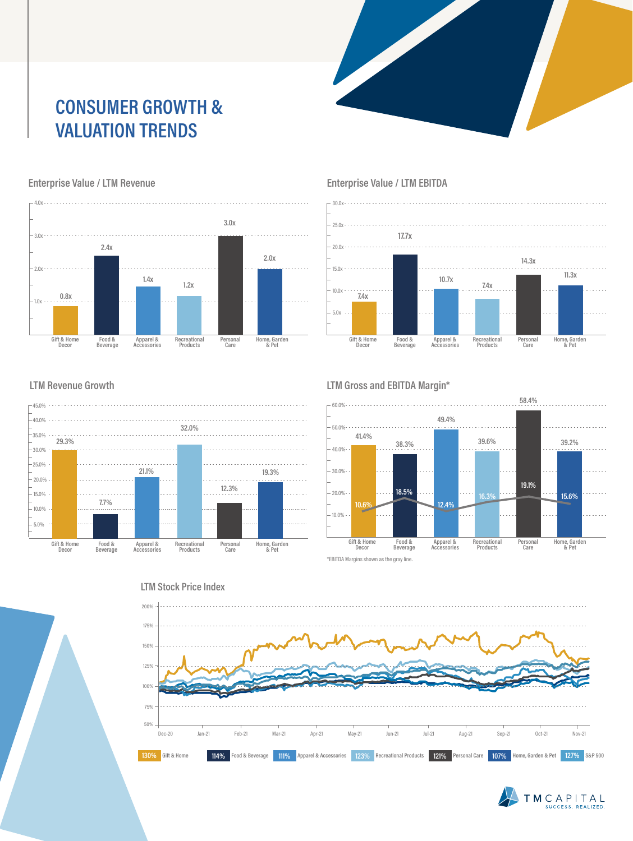## **CONSUMER GROWTH & VALUATION TRENDS**



#### **Enterprise Value / LTM Revenue**



### **Enterprise Value / LTM EBITDA**

#### **LTM Revenue Growth**



#### **LTM Gross and EBITDA Margin\***



\*EBITDA Margins shown as the gray line.